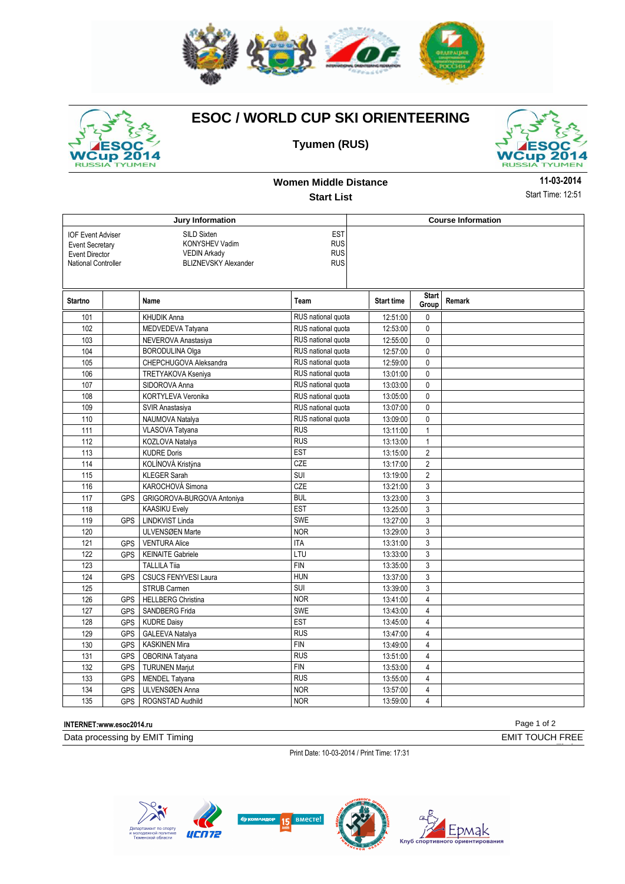



## **ESOC / WORLD CUP SKI ORIENTEERING**





**Women Middle Distance Start List**

**11-03-2014** Start Time: 12:51

|                                                                                                                                                                                                                                                   | Jury Information |                             | <b>Course Information</b> |                   |                       |        |
|---------------------------------------------------------------------------------------------------------------------------------------------------------------------------------------------------------------------------------------------------|------------------|-----------------------------|---------------------------|-------------------|-----------------------|--------|
| <b>EST</b><br><b>IOF Event Adviser</b><br>SILD Sixten<br><b>RUS</b><br>KONYSHEV Vadim<br><b>Event Secretary</b><br><b>RUS</b><br><b>VEDIN Arkady</b><br><b>Event Director</b><br><b>RUS</b><br><b>BLIZNEVSKY Alexander</b><br>National Controller |                  |                             |                           |                   |                       |        |
| <b>Startno</b>                                                                                                                                                                                                                                    |                  | Name                        | Team                      | <b>Start time</b> | <b>Start</b><br>Group | Remark |
| 101                                                                                                                                                                                                                                               |                  | <b>KHUDIK Anna</b>          | RUS national quota        | 12:51:00          | 0                     |        |
| 102                                                                                                                                                                                                                                               |                  | MEDVEDEVA Tatyana           | RUS national quota        | 12:53:00          | 0                     |        |
| 103                                                                                                                                                                                                                                               |                  | NEVEROVA Anastasiya         | RUS national quota        | 12:55:00          | 0                     |        |
| 104                                                                                                                                                                                                                                               |                  | <b>BORODULINA Olga</b>      | RUS national quota        | 12:57:00          | 0                     |        |
| 105                                                                                                                                                                                                                                               |                  | CHEPCHUGOVA Aleksandra      | RUS national quota        | 12:59:00          | 0                     |        |
| 106                                                                                                                                                                                                                                               |                  | <b>TRETYAKOVA Kseniya</b>   | RUS national quota        | 13:01:00          | 0                     |        |
| 107                                                                                                                                                                                                                                               |                  | SIDOROVA Anna               | RUS national quota        | 13:03:00          | 0                     |        |
| 108                                                                                                                                                                                                                                               |                  | KORTYLEVA Veronika          | RUS national quota        | 13:05:00          | $\mathbf 0$           |        |
| 109                                                                                                                                                                                                                                               |                  | SVIR Anastasiya             | RUS national quota        | 13:07:00          | 0                     |        |
| 110                                                                                                                                                                                                                                               |                  | NAUMOVA Natalya             | RUS national quota        | 13:09:00          | 0                     |        |
| 111                                                                                                                                                                                                                                               |                  | VLASOVA Tatyana             | <b>RUS</b>                | 13:11:00          | $\mathbf{1}$          |        |
| 112                                                                                                                                                                                                                                               |                  | KOZLOVA Natalya             | <b>RUS</b>                | 13:13:00          | $\mathbf{1}$          |        |
| 113                                                                                                                                                                                                                                               |                  | <b>KUDRE Doris</b>          | <b>EST</b>                | 13:15:00          | $\overline{2}$        |        |
| 114                                                                                                                                                                                                                                               |                  | KOLÍNOVÁ Kristýna           | CZE                       | 13:17:00          | $\overline{2}$        |        |
| 115                                                                                                                                                                                                                                               |                  | <b>KLEGER Sarah</b>         | SUI                       | 13:19:00          | $\overline{2}$        |        |
| 116                                                                                                                                                                                                                                               |                  | KAROCHOVÁ Simona            | CZE                       | 13:21:00          | 3                     |        |
| 117                                                                                                                                                                                                                                               | <b>GPS</b>       | GRIGOROVA-BURGOVA Antoniya  | <b>BUL</b>                | 13:23:00          | $\mathbf{3}$          |        |
| 118                                                                                                                                                                                                                                               |                  | <b>KAASIKU Evely</b>        | <b>EST</b>                | 13:25:00          | 3                     |        |
| 119                                                                                                                                                                                                                                               | <b>GPS</b>       | <b>LINDKVIST Linda</b>      | <b>SWE</b>                | 13:27:00          | 3                     |        |
| 120                                                                                                                                                                                                                                               |                  | ULVENSØEN Marte             | <b>NOR</b>                | 13:29:00          | 3                     |        |
| 121                                                                                                                                                                                                                                               | <b>GPS</b>       | <b>VENTURA Alice</b>        | <b>ITA</b>                | 13:31:00          | 3                     |        |
| 122                                                                                                                                                                                                                                               | <b>GPS</b>       | <b>KEINAITE Gabriele</b>    | LTU                       | 13:33:00          | $\mathbf{3}$          |        |
| 123                                                                                                                                                                                                                                               |                  | <b>TALLILA Tija</b>         | <b>FIN</b>                | 13:35:00          | 3                     |        |
| 124                                                                                                                                                                                                                                               | <b>GPS</b>       | <b>CSUCS FENYVESI Laura</b> | <b>HUN</b>                | 13:37:00          | $\mathbf{3}$          |        |
| 125                                                                                                                                                                                                                                               |                  | <b>STRUB Carmen</b>         | <b>SUI</b>                | 13:39:00          | 3                     |        |
| 126                                                                                                                                                                                                                                               | <b>GPS</b>       | <b>HELLBERG Christina</b>   | <b>NOR</b>                | 13:41:00          | $\overline{4}$        |        |
| 127                                                                                                                                                                                                                                               | GPS              | SANDBERG Frida              | SWE                       | 13:43:00          | 4                     |        |
| 128                                                                                                                                                                                                                                               | <b>GPS</b>       | <b>KUDRE Daisy</b>          | <b>EST</b>                | 13:45:00          | 4                     |        |
| 129                                                                                                                                                                                                                                               | <b>GPS</b>       | GALEEVA Natalya             | <b>RUS</b>                | 13:47:00          | $\overline{4}$        |        |
| 130                                                                                                                                                                                                                                               | GPS              | <b>KASKINEN Mira</b>        | <b>FIN</b>                | 13:49:00          | $\overline{4}$        |        |
| 131                                                                                                                                                                                                                                               | <b>GPS</b>       | OBORINA Tatyana             | <b>RUS</b>                | 13:51:00          | 4                     |        |
| 132                                                                                                                                                                                                                                               | GPS              | <b>TURUNEN Marjut</b>       | <b>FIN</b>                | 13:53:00          | 4                     |        |
| 133                                                                                                                                                                                                                                               | <b>GPS</b>       | <b>MENDEL Tatyana</b>       | <b>RUS</b>                | 13:55:00          | $\overline{4}$        |        |
| 134                                                                                                                                                                                                                                               | <b>GPS</b>       | ULVENSØEN Anna              | <b>NOR</b>                | 13:57:00          | 4                     |        |
| 135                                                                                                                                                                                                                                               | GPS I            | ROGNSTAD Audhild            | <b>NOR</b>                | 13:59:00          | 4                     |        |

## **INTERNET:www.esoc2014.ru** Page 1 of 2

Data processing by EMIT Timing **EMIT TOUCH FREE** 

Timing

Print Date: 10-03-2014 / Print Time: 17:31